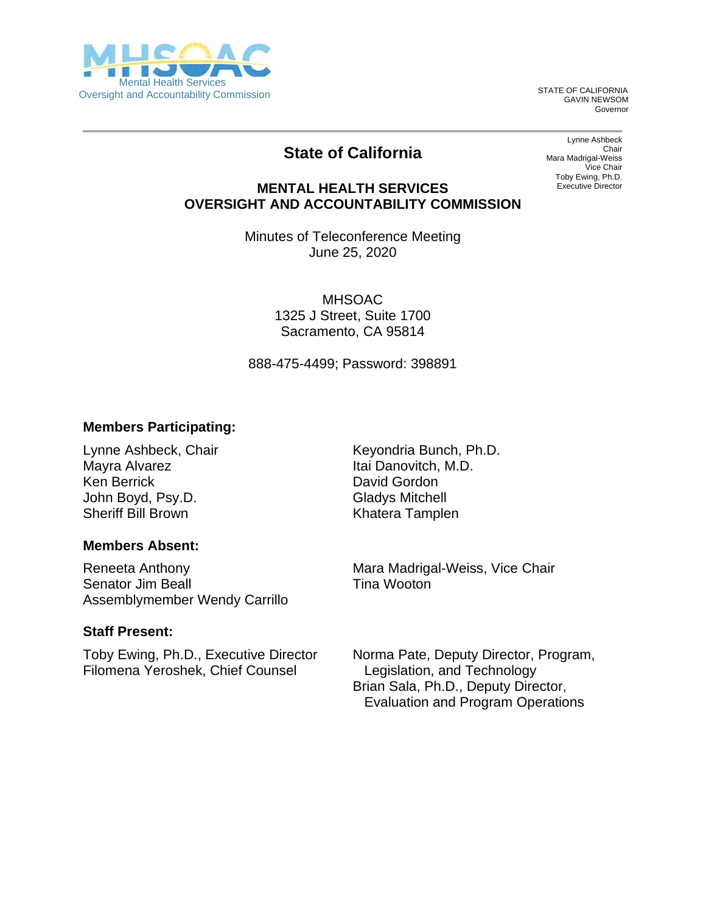

GAVIN NEWSOM Governor

# **State of California**

Lynne Ashbeck Chair Mara Madrigal-Weiss Vice Chair Toby Ewing, Ph.D. Executive Director

#### **MENTAL HEALTH SERVICES OVERSIGHT AND ACCOUNTABILITY COMMISSION**

Minutes of Teleconference Meeting June 25, 2020

> MHSOAC 1325 J Street, Suite 1700 Sacramento, CA 95814

888-475-4499; Password: 398891

#### **Members Participating:**

Lynne Ashbeck, Chair Mayra Alvarez Ken Berrick John Boyd, Psy.D. Sheriff Bill Brown

#### **Members Absent:**

Reneeta Anthony Senator Jim Beall Assemblymember Wendy Carrillo

#### **Staff Present:**

Toby Ewing, Ph.D., Executive Director Filomena Yeroshek, Chief Counsel

Keyondria Bunch, Ph.D. Itai Danovitch, M.D. David Gordon Gladys Mitchell Khatera Tamplen

Mara Madrigal-Weiss, Vice Chair Tina Wooton

Norma Pate, Deputy Director, Program, Legislation, and Technology Brian Sala, Ph.D., Deputy Director, Evaluation and Program Operations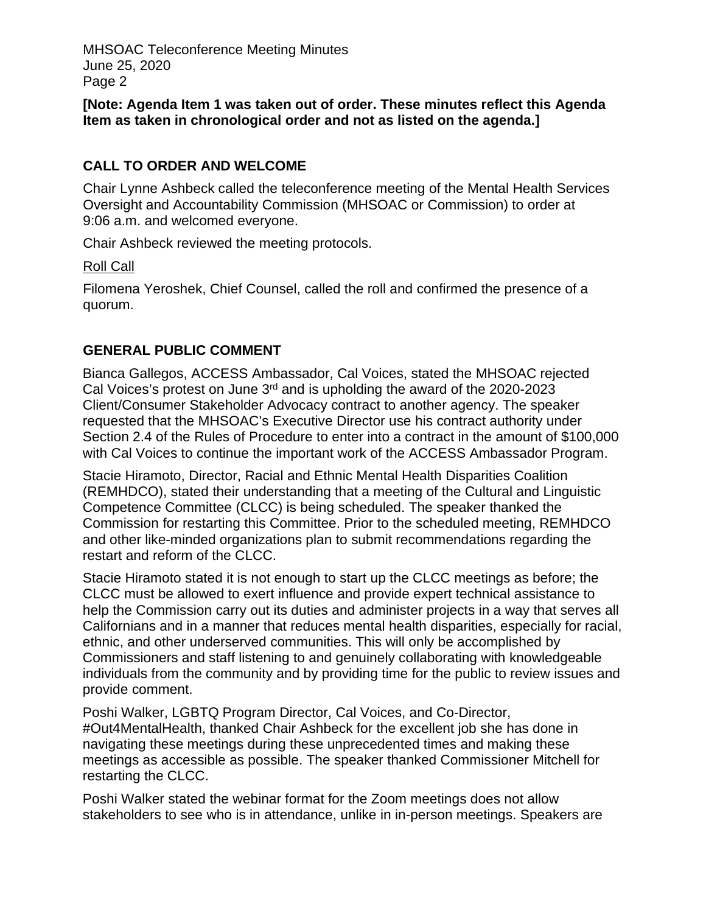**[Note: Agenda Item 1 was taken out of order. These minutes reflect this Agenda Item as taken in chronological order and not as listed on the agenda.]**

# **CALL TO ORDER AND WELCOME**

Chair Lynne Ashbeck called the teleconference meeting of the Mental Health Services Oversight and Accountability Commission (MHSOAC or Commission) to order at 9:06 a.m. and welcomed everyone.

Chair Ashbeck reviewed the meeting protocols.

#### Roll Call

Filomena Yeroshek, Chief Counsel, called the roll and confirmed the presence of a quorum.

## **GENERAL PUBLIC COMMENT**

Bianca Gallegos, ACCESS Ambassador, Cal Voices, stated the MHSOAC rejected Cal Voices's protest on June  $3<sup>rd</sup>$  and is upholding the award of the 2020-2023 Client/Consumer Stakeholder Advocacy contract to another agency. The speaker requested that the MHSOAC's Executive Director use his contract authority under Section 2.4 of the Rules of Procedure to enter into a contract in the amount of \$100,000 with Cal Voices to continue the important work of the ACCESS Ambassador Program.

Stacie Hiramoto, Director, Racial and Ethnic Mental Health Disparities Coalition (REMHDCO), stated their understanding that a meeting of the Cultural and Linguistic Competence Committee (CLCC) is being scheduled. The speaker thanked the Commission for restarting this Committee. Prior to the scheduled meeting, REMHDCO and other like-minded organizations plan to submit recommendations regarding the restart and reform of the CLCC.

Stacie Hiramoto stated it is not enough to start up the CLCC meetings as before; the CLCC must be allowed to exert influence and provide expert technical assistance to help the Commission carry out its duties and administer projects in a way that serves all Californians and in a manner that reduces mental health disparities, especially for racial, ethnic, and other underserved communities. This will only be accomplished by Commissioners and staff listening to and genuinely collaborating with knowledgeable individuals from the community and by providing time for the public to review issues and provide comment.

Poshi Walker, LGBTQ Program Director, Cal Voices, and Co-Director, #Out4MentalHealth, thanked Chair Ashbeck for the excellent job she has done in navigating these meetings during these unprecedented times and making these meetings as accessible as possible. The speaker thanked Commissioner Mitchell for restarting the CLCC.

Poshi Walker stated the webinar format for the Zoom meetings does not allow stakeholders to see who is in attendance, unlike in in-person meetings. Speakers are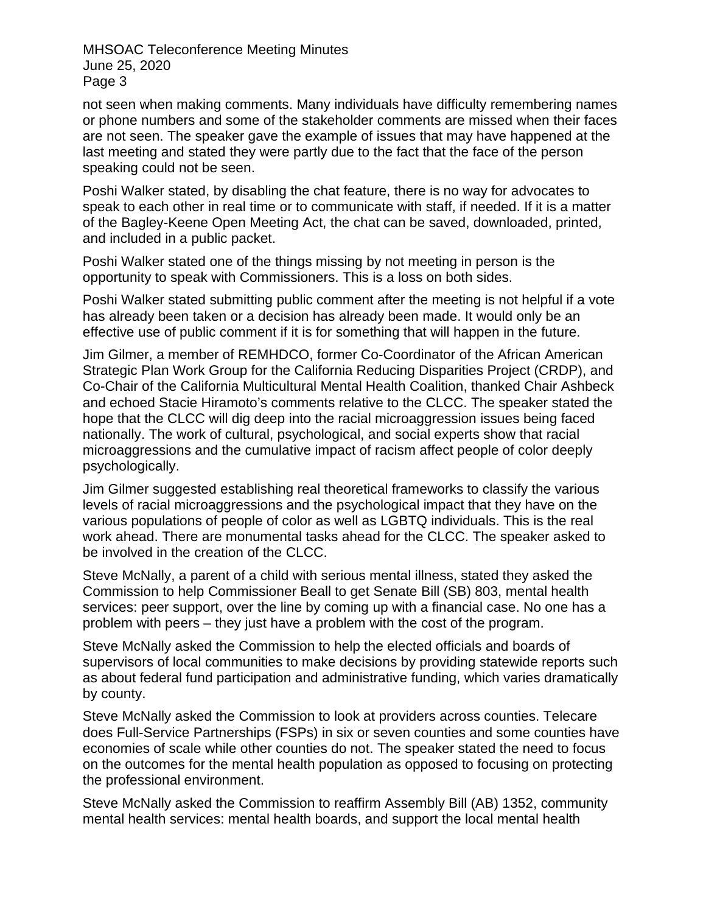not seen when making comments. Many individuals have difficulty remembering names or phone numbers and some of the stakeholder comments are missed when their faces are not seen. The speaker gave the example of issues that may have happened at the last meeting and stated they were partly due to the fact that the face of the person speaking could not be seen.

Poshi Walker stated, by disabling the chat feature, there is no way for advocates to speak to each other in real time or to communicate with staff, if needed. If it is a matter of the Bagley-Keene Open Meeting Act, the chat can be saved, downloaded, printed, and included in a public packet.

Poshi Walker stated one of the things missing by not meeting in person is the opportunity to speak with Commissioners. This is a loss on both sides.

Poshi Walker stated submitting public comment after the meeting is not helpful if a vote has already been taken or a decision has already been made. It would only be an effective use of public comment if it is for something that will happen in the future.

Jim Gilmer, a member of REMHDCO, former Co-Coordinator of the African American Strategic Plan Work Group for the California Reducing Disparities Project (CRDP), and Co-Chair of the California Multicultural Mental Health Coalition, thanked Chair Ashbeck and echoed Stacie Hiramoto's comments relative to the CLCC. The speaker stated the hope that the CLCC will dig deep into the racial microaggression issues being faced nationally. The work of cultural, psychological, and social experts show that racial microaggressions and the cumulative impact of racism affect people of color deeply psychologically.

Jim Gilmer suggested establishing real theoretical frameworks to classify the various levels of racial microaggressions and the psychological impact that they have on the various populations of people of color as well as LGBTQ individuals. This is the real work ahead. There are monumental tasks ahead for the CLCC. The speaker asked to be involved in the creation of the CLCC.

Steve McNally, a parent of a child with serious mental illness, stated they asked the Commission to help Commissioner Beall to get Senate Bill (SB) 803, mental health services: peer support, over the line by coming up with a financial case. No one has a problem with peers – they just have a problem with the cost of the program.

Steve McNally asked the Commission to help the elected officials and boards of supervisors of local communities to make decisions by providing statewide reports such as about federal fund participation and administrative funding, which varies dramatically by county.

Steve McNally asked the Commission to look at providers across counties. Telecare does Full-Service Partnerships (FSPs) in six or seven counties and some counties have economies of scale while other counties do not. The speaker stated the need to focus on the outcomes for the mental health population as opposed to focusing on protecting the professional environment.

Steve McNally asked the Commission to reaffirm Assembly Bill (AB) 1352, community mental health services: mental health boards, and support the local mental health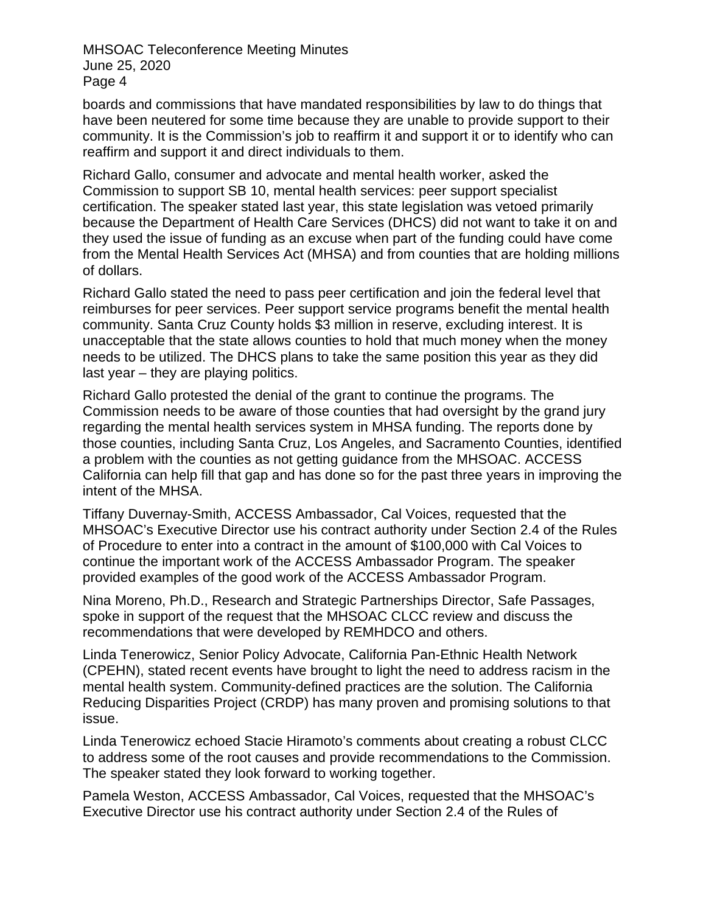boards and commissions that have mandated responsibilities by law to do things that have been neutered for some time because they are unable to provide support to their community. It is the Commission's job to reaffirm it and support it or to identify who can reaffirm and support it and direct individuals to them.

Richard Gallo, consumer and advocate and mental health worker, asked the Commission to support SB 10, mental health services: peer support specialist certification. The speaker stated last year, this state legislation was vetoed primarily because the Department of Health Care Services (DHCS) did not want to take it on and they used the issue of funding as an excuse when part of the funding could have come from the Mental Health Services Act (MHSA) and from counties that are holding millions of dollars.

Richard Gallo stated the need to pass peer certification and join the federal level that reimburses for peer services. Peer support service programs benefit the mental health community. Santa Cruz County holds \$3 million in reserve, excluding interest. It is unacceptable that the state allows counties to hold that much money when the money needs to be utilized. The DHCS plans to take the same position this year as they did last year – they are playing politics.

Richard Gallo protested the denial of the grant to continue the programs. The Commission needs to be aware of those counties that had oversight by the grand jury regarding the mental health services system in MHSA funding. The reports done by those counties, including Santa Cruz, Los Angeles, and Sacramento Counties, identified a problem with the counties as not getting guidance from the MHSOAC. ACCESS California can help fill that gap and has done so for the past three years in improving the intent of the MHSA.

Tiffany Duvernay-Smith, ACCESS Ambassador, Cal Voices, requested that the MHSOAC's Executive Director use his contract authority under Section 2.4 of the Rules of Procedure to enter into a contract in the amount of \$100,000 with Cal Voices to continue the important work of the ACCESS Ambassador Program. The speaker provided examples of the good work of the ACCESS Ambassador Program.

Nina Moreno, Ph.D., Research and Strategic Partnerships Director, Safe Passages, spoke in support of the request that the MHSOAC CLCC review and discuss the recommendations that were developed by REMHDCO and others.

Linda Tenerowicz, Senior Policy Advocate, California Pan-Ethnic Health Network (CPEHN), stated recent events have brought to light the need to address racism in the mental health system. Community-defined practices are the solution. The California Reducing Disparities Project (CRDP) has many proven and promising solutions to that issue.

Linda Tenerowicz echoed Stacie Hiramoto's comments about creating a robust CLCC to address some of the root causes and provide recommendations to the Commission. The speaker stated they look forward to working together.

Pamela Weston, ACCESS Ambassador, Cal Voices, requested that the MHSOAC's Executive Director use his contract authority under Section 2.4 of the Rules of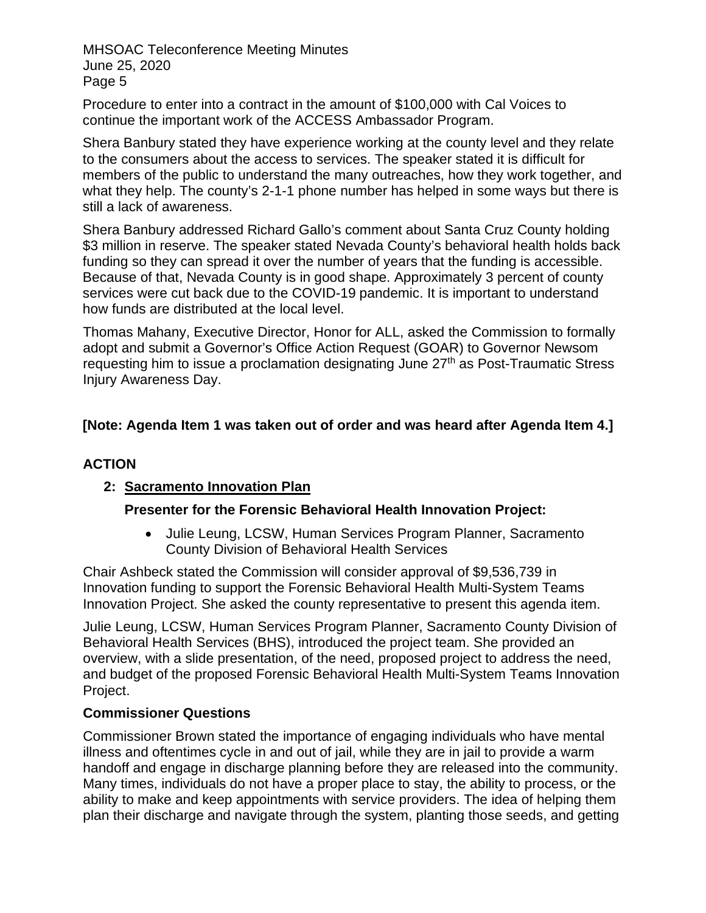Procedure to enter into a contract in the amount of \$100,000 with Cal Voices to continue the important work of the ACCESS Ambassador Program.

Shera Banbury stated they have experience working at the county level and they relate to the consumers about the access to services. The speaker stated it is difficult for members of the public to understand the many outreaches, how they work together, and what they help. The county's 2-1-1 phone number has helped in some ways but there is still a lack of awareness.

Shera Banbury addressed Richard Gallo's comment about Santa Cruz County holding \$3 million in reserve. The speaker stated Nevada County's behavioral health holds back funding so they can spread it over the number of years that the funding is accessible. Because of that, Nevada County is in good shape. Approximately 3 percent of county services were cut back due to the COVID-19 pandemic. It is important to understand how funds are distributed at the local level.

Thomas Mahany, Executive Director, Honor for ALL, asked the Commission to formally adopt and submit a Governor's Office Action Request (GOAR) to Governor Newsom requesting him to issue a proclamation designating June 27<sup>th</sup> as Post-Traumatic Stress Injury Awareness Day.

## **[Note: Agenda Item 1 was taken out of order and was heard after Agenda Item 4.]**

## **ACTION**

## **2: Sacramento Innovation Plan**

## **Presenter for the Forensic Behavioral Health Innovation Project:**

• Julie Leung, LCSW, Human Services Program Planner, Sacramento County Division of Behavioral Health Services

Chair Ashbeck stated the Commission will consider approval of \$9,536,739 in Innovation funding to support the Forensic Behavioral Health Multi-System Teams Innovation Project. She asked the county representative to present this agenda item.

Julie Leung, LCSW, Human Services Program Planner, Sacramento County Division of Behavioral Health Services (BHS), introduced the project team. She provided an overview, with a slide presentation, of the need, proposed project to address the need, and budget of the proposed Forensic Behavioral Health Multi-System Teams Innovation Project.

## **Commissioner Questions**

Commissioner Brown stated the importance of engaging individuals who have mental illness and oftentimes cycle in and out of jail, while they are in jail to provide a warm handoff and engage in discharge planning before they are released into the community. Many times, individuals do not have a proper place to stay, the ability to process, or the ability to make and keep appointments with service providers. The idea of helping them plan their discharge and navigate through the system, planting those seeds, and getting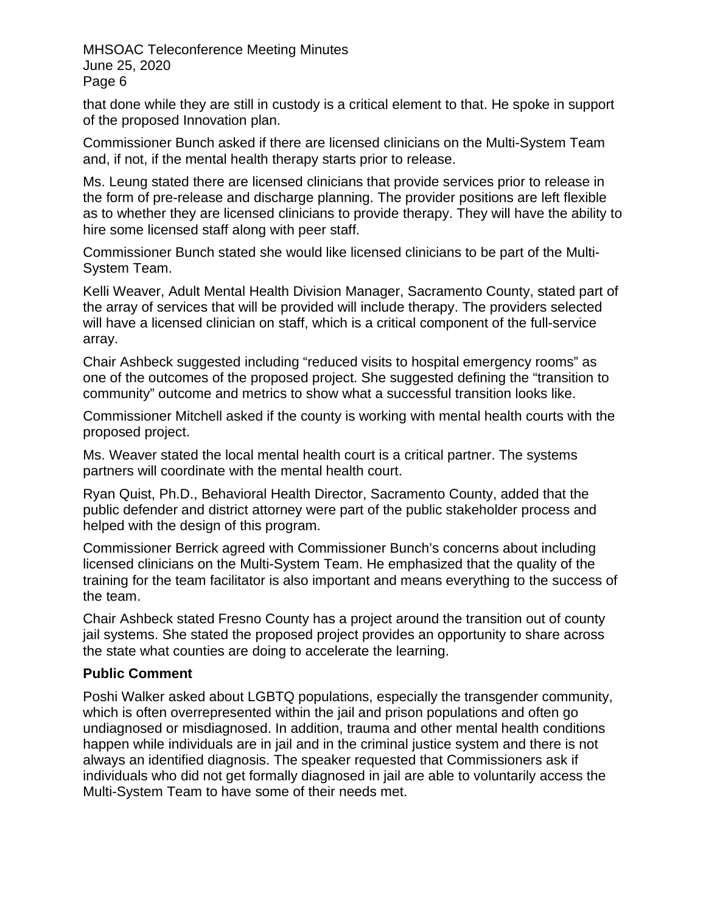that done while they are still in custody is a critical element to that. He spoke in support of the proposed Innovation plan.

Commissioner Bunch asked if there are licensed clinicians on the Multi-System Team and, if not, if the mental health therapy starts prior to release.

Ms. Leung stated there are licensed clinicians that provide services prior to release in the form of pre-release and discharge planning. The provider positions are left flexible as to whether they are licensed clinicians to provide therapy. They will have the ability to hire some licensed staff along with peer staff.

Commissioner Bunch stated she would like licensed clinicians to be part of the Multi-System Team.

Kelli Weaver, Adult Mental Health Division Manager, Sacramento County, stated part of the array of services that will be provided will include therapy. The providers selected will have a licensed clinician on staff, which is a critical component of the full-service array.

Chair Ashbeck suggested including "reduced visits to hospital emergency rooms" as one of the outcomes of the proposed project. She suggested defining the "transition to community" outcome and metrics to show what a successful transition looks like.

Commissioner Mitchell asked if the county is working with mental health courts with the proposed project.

Ms. Weaver stated the local mental health court is a critical partner. The systems partners will coordinate with the mental health court.

Ryan Quist, Ph.D., Behavioral Health Director, Sacramento County, added that the public defender and district attorney were part of the public stakeholder process and helped with the design of this program.

Commissioner Berrick agreed with Commissioner Bunch's concerns about including licensed clinicians on the Multi-System Team. He emphasized that the quality of the training for the team facilitator is also important and means everything to the success of the team.

Chair Ashbeck stated Fresno County has a project around the transition out of county jail systems. She stated the proposed project provides an opportunity to share across the state what counties are doing to accelerate the learning.

## **Public Comment**

Poshi Walker asked about LGBTQ populations, especially the transgender community, which is often overrepresented within the jail and prison populations and often go undiagnosed or misdiagnosed. In addition, trauma and other mental health conditions happen while individuals are in jail and in the criminal justice system and there is not always an identified diagnosis. The speaker requested that Commissioners ask if individuals who did not get formally diagnosed in jail are able to voluntarily access the Multi-System Team to have some of their needs met.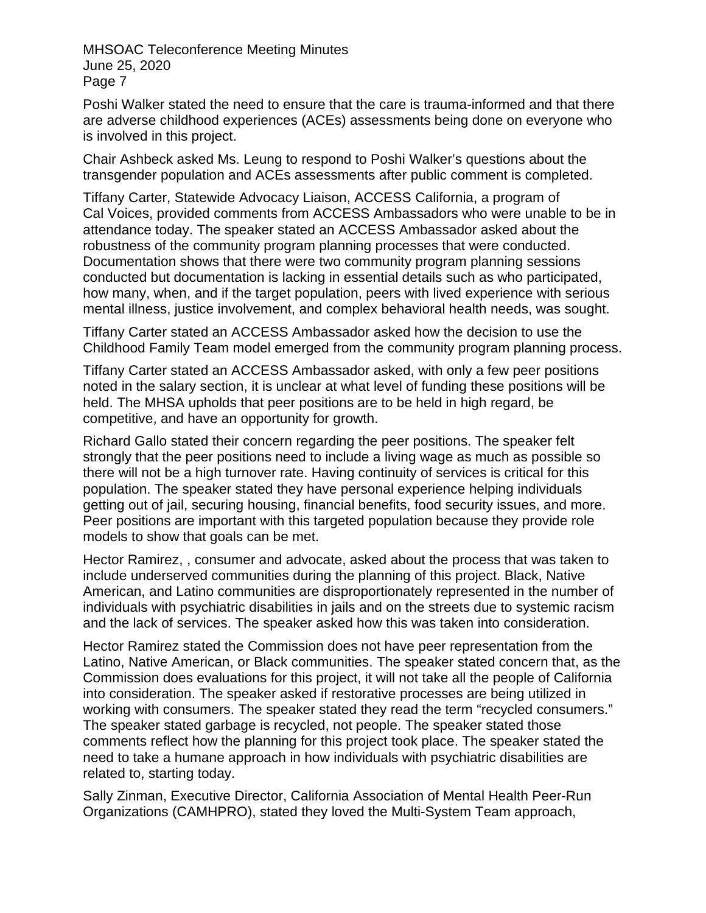Poshi Walker stated the need to ensure that the care is trauma-informed and that there are adverse childhood experiences (ACEs) assessments being done on everyone who is involved in this project.

Chair Ashbeck asked Ms. Leung to respond to Poshi Walker's questions about the transgender population and ACEs assessments after public comment is completed.

Tiffany Carter, Statewide Advocacy Liaison, ACCESS California, a program of Cal Voices, provided comments from ACCESS Ambassadors who were unable to be in attendance today. The speaker stated an ACCESS Ambassador asked about the robustness of the community program planning processes that were conducted. Documentation shows that there were two community program planning sessions conducted but documentation is lacking in essential details such as who participated, how many, when, and if the target population, peers with lived experience with serious mental illness, justice involvement, and complex behavioral health needs, was sought.

Tiffany Carter stated an ACCESS Ambassador asked how the decision to use the Childhood Family Team model emerged from the community program planning process.

Tiffany Carter stated an ACCESS Ambassador asked, with only a few peer positions noted in the salary section, it is unclear at what level of funding these positions will be held. The MHSA upholds that peer positions are to be held in high regard, be competitive, and have an opportunity for growth.

Richard Gallo stated their concern regarding the peer positions. The speaker felt strongly that the peer positions need to include a living wage as much as possible so there will not be a high turnover rate. Having continuity of services is critical for this population. The speaker stated they have personal experience helping individuals getting out of jail, securing housing, financial benefits, food security issues, and more. Peer positions are important with this targeted population because they provide role models to show that goals can be met.

Hector Ramirez, , consumer and advocate, asked about the process that was taken to include underserved communities during the planning of this project. Black, Native American, and Latino communities are disproportionately represented in the number of individuals with psychiatric disabilities in jails and on the streets due to systemic racism and the lack of services. The speaker asked how this was taken into consideration.

Hector Ramirez stated the Commission does not have peer representation from the Latino, Native American, or Black communities. The speaker stated concern that, as the Commission does evaluations for this project, it will not take all the people of California into consideration. The speaker asked if restorative processes are being utilized in working with consumers. The speaker stated they read the term "recycled consumers." The speaker stated garbage is recycled, not people. The speaker stated those comments reflect how the planning for this project took place. The speaker stated the need to take a humane approach in how individuals with psychiatric disabilities are related to, starting today.

Sally Zinman, Executive Director, California Association of Mental Health Peer-Run Organizations (CAMHPRO), stated they loved the Multi-System Team approach,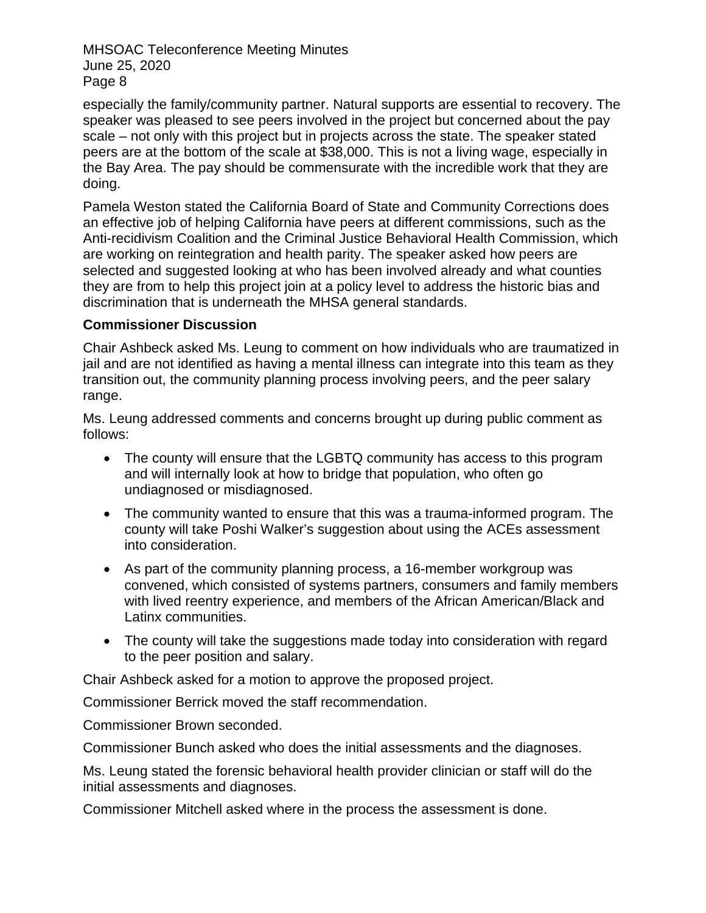especially the family/community partner. Natural supports are essential to recovery. The speaker was pleased to see peers involved in the project but concerned about the pay scale – not only with this project but in projects across the state. The speaker stated peers are at the bottom of the scale at \$38,000. This is not a living wage, especially in the Bay Area. The pay should be commensurate with the incredible work that they are doing.

Pamela Weston stated the California Board of State and Community Corrections does an effective job of helping California have peers at different commissions, such as the Anti-recidivism Coalition and the Criminal Justice Behavioral Health Commission, which are working on reintegration and health parity. The speaker asked how peers are selected and suggested looking at who has been involved already and what counties they are from to help this project join at a policy level to address the historic bias and discrimination that is underneath the MHSA general standards.

#### **Commissioner Discussion**

Chair Ashbeck asked Ms. Leung to comment on how individuals who are traumatized in jail and are not identified as having a mental illness can integrate into this team as they transition out, the community planning process involving peers, and the peer salary range.

Ms. Leung addressed comments and concerns brought up during public comment as follows:

- The county will ensure that the LGBTQ community has access to this program and will internally look at how to bridge that population, who often go undiagnosed or misdiagnosed.
- The community wanted to ensure that this was a trauma-informed program. The county will take Poshi Walker's suggestion about using the ACEs assessment into consideration.
- As part of the community planning process, a 16-member workgroup was convened, which consisted of systems partners, consumers and family members with lived reentry experience, and members of the African American/Black and Latinx communities.
- The county will take the suggestions made today into consideration with regard to the peer position and salary.

Chair Ashbeck asked for a motion to approve the proposed project.

Commissioner Berrick moved the staff recommendation.

Commissioner Brown seconded.

Commissioner Bunch asked who does the initial assessments and the diagnoses.

Ms. Leung stated the forensic behavioral health provider clinician or staff will do the initial assessments and diagnoses.

Commissioner Mitchell asked where in the process the assessment is done.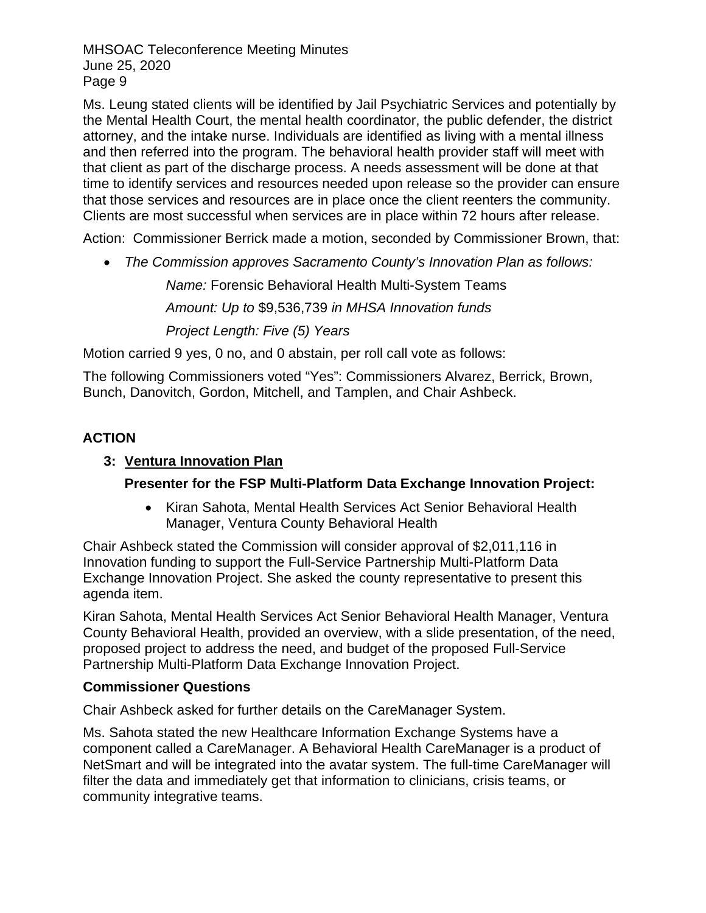Ms. Leung stated clients will be identified by Jail Psychiatric Services and potentially by the Mental Health Court, the mental health coordinator, the public defender, the district attorney, and the intake nurse. Individuals are identified as living with a mental illness and then referred into the program. The behavioral health provider staff will meet with that client as part of the discharge process. A needs assessment will be done at that time to identify services and resources needed upon release so the provider can ensure that those services and resources are in place once the client reenters the community. Clients are most successful when services are in place within 72 hours after release.

Action: Commissioner Berrick made a motion, seconded by Commissioner Brown, that:

• *The Commission approves Sacramento County's Innovation Plan as follows:*

*Name:* Forensic Behavioral Health Multi-System Teams

*Amount: Up to* \$9,536,739 *in MHSA Innovation funds*

*Project Length: Five (5) Years*

Motion carried 9 yes, 0 no, and 0 abstain, per roll call vote as follows:

The following Commissioners voted "Yes": Commissioners Alvarez, Berrick, Brown, Bunch, Danovitch, Gordon, Mitchell, and Tamplen, and Chair Ashbeck.

## **ACTION**

### **3: Ventura Innovation Plan**

## **Presenter for the FSP Multi-Platform Data Exchange Innovation Project:**

• Kiran Sahota, Mental Health Services Act Senior Behavioral Health Manager, Ventura County Behavioral Health

Chair Ashbeck stated the Commission will consider approval of \$2,011,116 in Innovation funding to support the Full-Service Partnership Multi-Platform Data Exchange Innovation Project. She asked the county representative to present this agenda item.

Kiran Sahota, Mental Health Services Act Senior Behavioral Health Manager, Ventura County Behavioral Health, provided an overview, with a slide presentation, of the need, proposed project to address the need, and budget of the proposed Full-Service Partnership Multi-Platform Data Exchange Innovation Project.

#### **Commissioner Questions**

Chair Ashbeck asked for further details on the CareManager System.

Ms. Sahota stated the new Healthcare Information Exchange Systems have a component called a CareManager. A Behavioral Health CareManager is a product of NetSmart and will be integrated into the avatar system. The full-time CareManager will filter the data and immediately get that information to clinicians, crisis teams, or community integrative teams.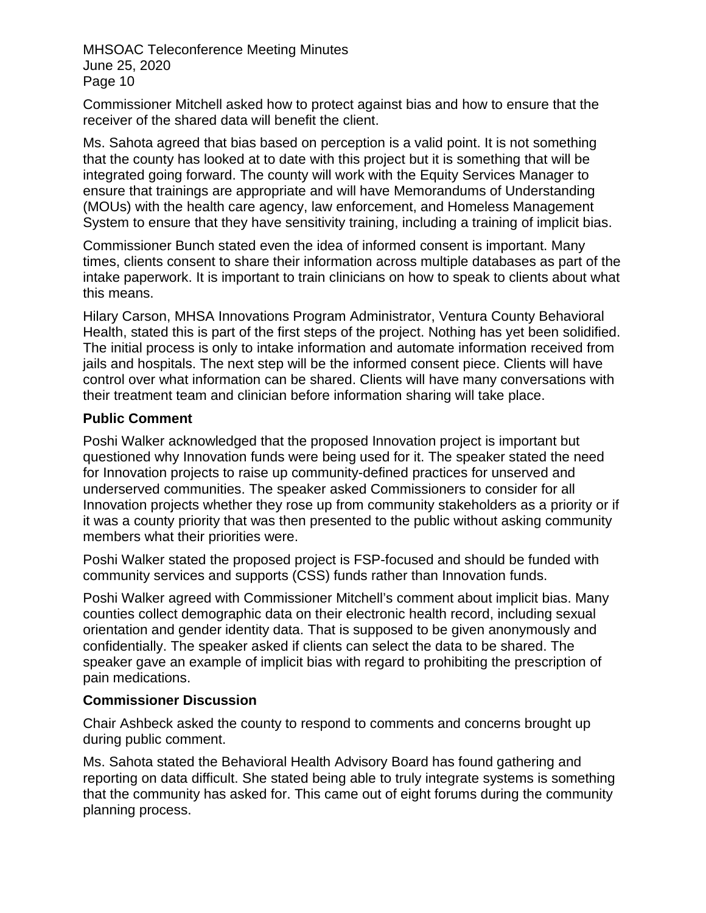Commissioner Mitchell asked how to protect against bias and how to ensure that the receiver of the shared data will benefit the client.

Ms. Sahota agreed that bias based on perception is a valid point. It is not something that the county has looked at to date with this project but it is something that will be integrated going forward. The county will work with the Equity Services Manager to ensure that trainings are appropriate and will have Memorandums of Understanding (MOUs) with the health care agency, law enforcement, and Homeless Management System to ensure that they have sensitivity training, including a training of implicit bias.

Commissioner Bunch stated even the idea of informed consent is important. Many times, clients consent to share their information across multiple databases as part of the intake paperwork. It is important to train clinicians on how to speak to clients about what this means.

Hilary Carson, MHSA Innovations Program Administrator, Ventura County Behavioral Health, stated this is part of the first steps of the project. Nothing has yet been solidified. The initial process is only to intake information and automate information received from jails and hospitals. The next step will be the informed consent piece. Clients will have control over what information can be shared. Clients will have many conversations with their treatment team and clinician before information sharing will take place.

#### **Public Comment**

Poshi Walker acknowledged that the proposed Innovation project is important but questioned why Innovation funds were being used for it. The speaker stated the need for Innovation projects to raise up community-defined practices for unserved and underserved communities. The speaker asked Commissioners to consider for all Innovation projects whether they rose up from community stakeholders as a priority or if it was a county priority that was then presented to the public without asking community members what their priorities were.

Poshi Walker stated the proposed project is FSP-focused and should be funded with community services and supports (CSS) funds rather than Innovation funds.

Poshi Walker agreed with Commissioner Mitchell's comment about implicit bias. Many counties collect demographic data on their electronic health record, including sexual orientation and gender identity data. That is supposed to be given anonymously and confidentially. The speaker asked if clients can select the data to be shared. The speaker gave an example of implicit bias with regard to prohibiting the prescription of pain medications.

#### **Commissioner Discussion**

Chair Ashbeck asked the county to respond to comments and concerns brought up during public comment.

Ms. Sahota stated the Behavioral Health Advisory Board has found gathering and reporting on data difficult. She stated being able to truly integrate systems is something that the community has asked for. This came out of eight forums during the community planning process.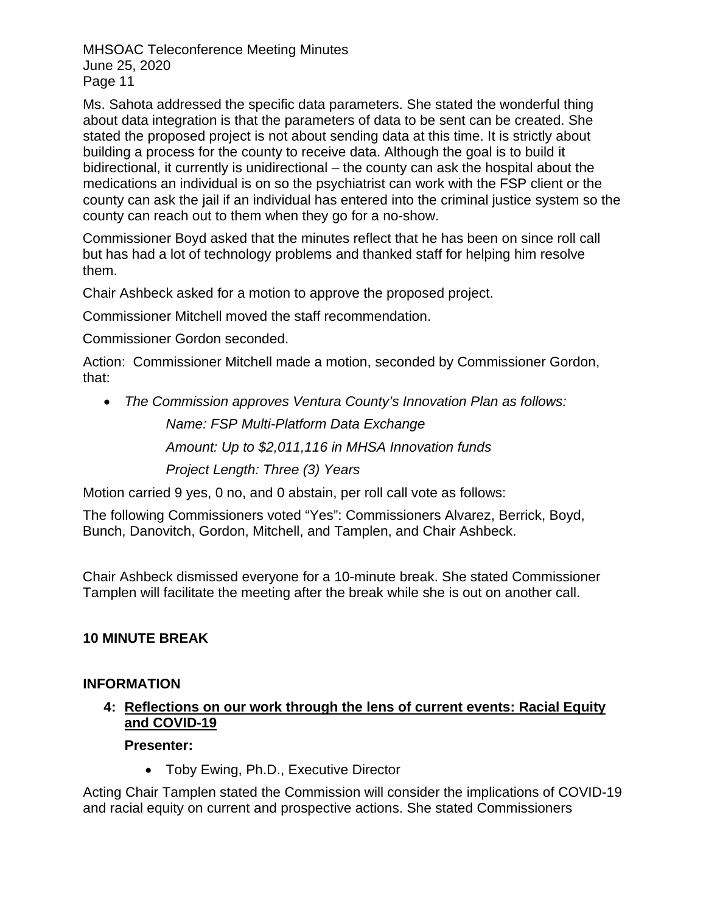Ms. Sahota addressed the specific data parameters. She stated the wonderful thing about data integration is that the parameters of data to be sent can be created. She stated the proposed project is not about sending data at this time. It is strictly about building a process for the county to receive data. Although the goal is to build it bidirectional, it currently is unidirectional – the county can ask the hospital about the medications an individual is on so the psychiatrist can work with the FSP client or the county can ask the jail if an individual has entered into the criminal justice system so the county can reach out to them when they go for a no-show.

Commissioner Boyd asked that the minutes reflect that he has been on since roll call but has had a lot of technology problems and thanked staff for helping him resolve them.

Chair Ashbeck asked for a motion to approve the proposed project.

Commissioner Mitchell moved the staff recommendation.

Commissioner Gordon seconded.

Action: Commissioner Mitchell made a motion, seconded by Commissioner Gordon, that:

• *The Commission approves Ventura County's Innovation Plan as follows: Name: FSP Multi-Platform Data Exchange*

*Amount: Up to \$2,011,116 in MHSA Innovation funds*

*Project Length: Three (3) Years*

Motion carried 9 yes, 0 no, and 0 abstain, per roll call vote as follows:

The following Commissioners voted "Yes": Commissioners Alvarez, Berrick, Boyd, Bunch, Danovitch, Gordon, Mitchell, and Tamplen, and Chair Ashbeck.

Chair Ashbeck dismissed everyone for a 10-minute break. She stated Commissioner Tamplen will facilitate the meeting after the break while she is out on another call.

## **10 MINUTE BREAK**

## **INFORMATION**

#### **4: Reflections on our work through the lens of current events: Racial Equity and COVID-19**

## **Presenter:**

• Toby Ewing, Ph.D., Executive Director

Acting Chair Tamplen stated the Commission will consider the implications of COVID-19 and racial equity on current and prospective actions. She stated Commissioners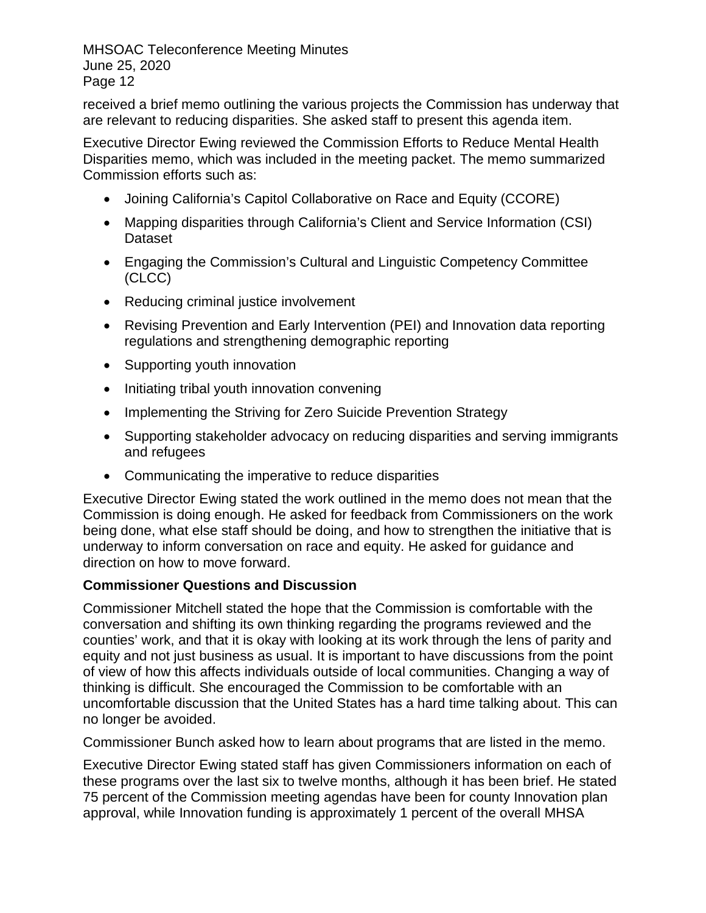received a brief memo outlining the various projects the Commission has underway that are relevant to reducing disparities. She asked staff to present this agenda item.

Executive Director Ewing reviewed the Commission Efforts to Reduce Mental Health Disparities memo, which was included in the meeting packet. The memo summarized Commission efforts such as:

- Joining California's Capitol Collaborative on Race and Equity (CCORE)
- Mapping disparities through California's Client and Service Information (CSI) Dataset
- Engaging the Commission's Cultural and Linguistic Competency Committee (CLCC)
- Reducing criminal justice involvement
- Revising Prevention and Early Intervention (PEI) and Innovation data reporting regulations and strengthening demographic reporting
- Supporting youth innovation
- Initiating tribal youth innovation convening
- Implementing the Striving for Zero Suicide Prevention Strategy
- Supporting stakeholder advocacy on reducing disparities and serving immigrants and refugees
- Communicating the imperative to reduce disparities

Executive Director Ewing stated the work outlined in the memo does not mean that the Commission is doing enough. He asked for feedback from Commissioners on the work being done, what else staff should be doing, and how to strengthen the initiative that is underway to inform conversation on race and equity. He asked for guidance and direction on how to move forward.

## **Commissioner Questions and Discussion**

Commissioner Mitchell stated the hope that the Commission is comfortable with the conversation and shifting its own thinking regarding the programs reviewed and the counties' work, and that it is okay with looking at its work through the lens of parity and equity and not just business as usual. It is important to have discussions from the point of view of how this affects individuals outside of local communities. Changing a way of thinking is difficult. She encouraged the Commission to be comfortable with an uncomfortable discussion that the United States has a hard time talking about. This can no longer be avoided.

Commissioner Bunch asked how to learn about programs that are listed in the memo.

Executive Director Ewing stated staff has given Commissioners information on each of these programs over the last six to twelve months, although it has been brief. He stated 75 percent of the Commission meeting agendas have been for county Innovation plan approval, while Innovation funding is approximately 1 percent of the overall MHSA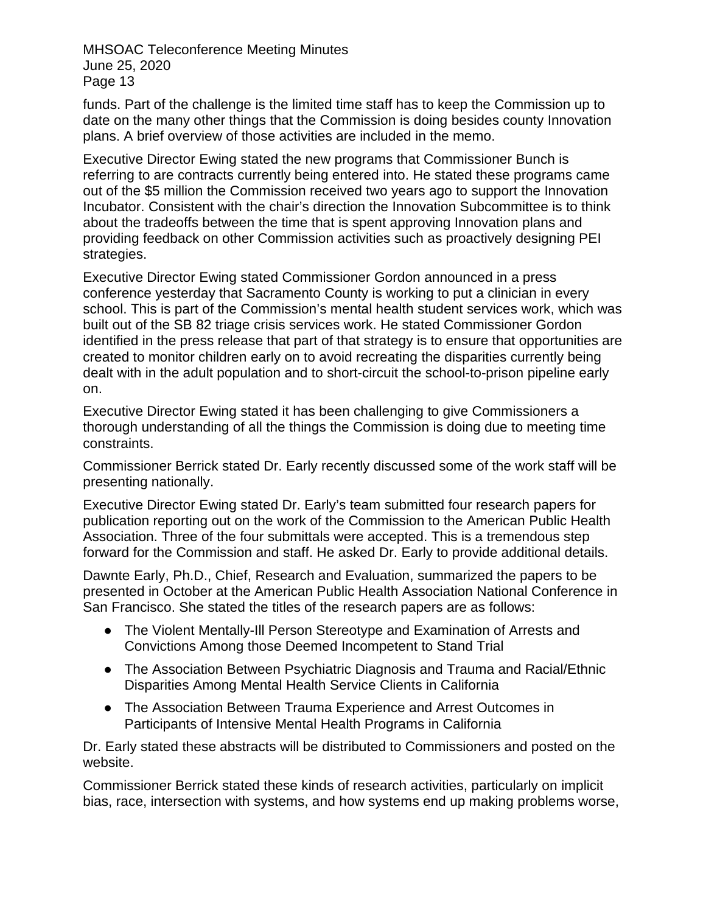funds. Part of the challenge is the limited time staff has to keep the Commission up to date on the many other things that the Commission is doing besides county Innovation plans. A brief overview of those activities are included in the memo.

Executive Director Ewing stated the new programs that Commissioner Bunch is referring to are contracts currently being entered into. He stated these programs came out of the \$5 million the Commission received two years ago to support the Innovation Incubator. Consistent with the chair's direction the Innovation Subcommittee is to think about the tradeoffs between the time that is spent approving Innovation plans and providing feedback on other Commission activities such as proactively designing PEI strategies.

Executive Director Ewing stated Commissioner Gordon announced in a press conference yesterday that Sacramento County is working to put a clinician in every school. This is part of the Commission's mental health student services work, which was built out of the SB 82 triage crisis services work. He stated Commissioner Gordon identified in the press release that part of that strategy is to ensure that opportunities are created to monitor children early on to avoid recreating the disparities currently being dealt with in the adult population and to short-circuit the school-to-prison pipeline early on.

Executive Director Ewing stated it has been challenging to give Commissioners a thorough understanding of all the things the Commission is doing due to meeting time constraints.

Commissioner Berrick stated Dr. Early recently discussed some of the work staff will be presenting nationally.

Executive Director Ewing stated Dr. Early's team submitted four research papers for publication reporting out on the work of the Commission to the American Public Health Association. Three of the four submittals were accepted. This is a tremendous step forward for the Commission and staff. He asked Dr. Early to provide additional details.

Dawnte Early, Ph.D., Chief, Research and Evaluation, summarized the papers to be presented in October at the American Public Health Association National Conference in San Francisco. She stated the titles of the research papers are as follows:

- The Violent Mentally-Ill Person Stereotype and Examination of Arrests and Convictions Among those Deemed Incompetent to Stand Trial
- The Association Between Psychiatric Diagnosis and Trauma and Racial/Ethnic Disparities Among Mental Health Service Clients in California
- The Association Between Trauma Experience and Arrest Outcomes in Participants of Intensive Mental Health Programs in California

Dr. Early stated these abstracts will be distributed to Commissioners and posted on the website.

Commissioner Berrick stated these kinds of research activities, particularly on implicit bias, race, intersection with systems, and how systems end up making problems worse,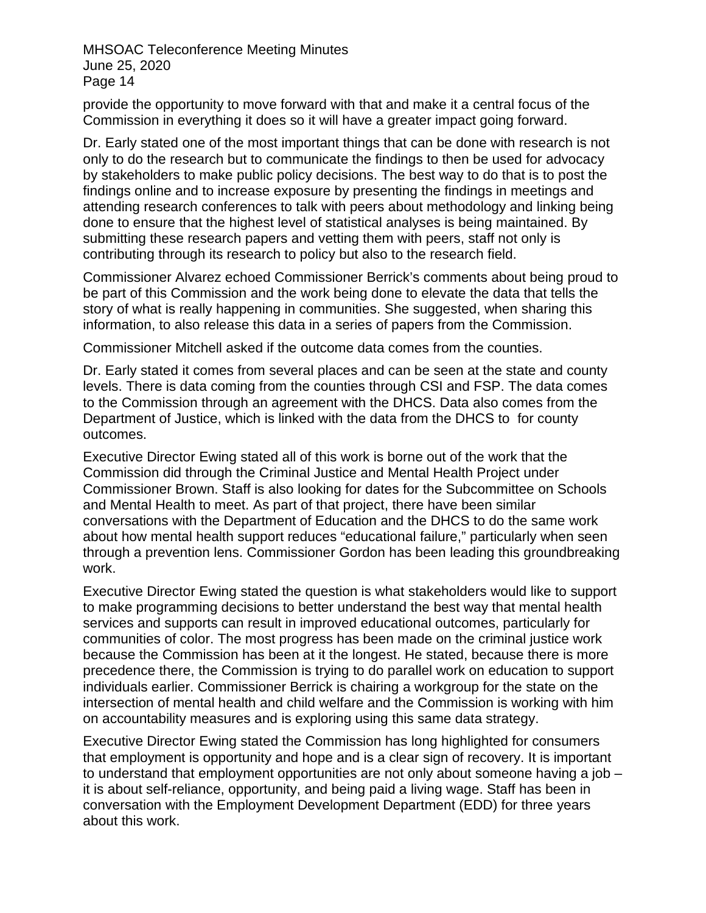provide the opportunity to move forward with that and make it a central focus of the Commission in everything it does so it will have a greater impact going forward.

Dr. Early stated one of the most important things that can be done with research is not only to do the research but to communicate the findings to then be used for advocacy by stakeholders to make public policy decisions. The best way to do that is to post the findings online and to increase exposure by presenting the findings in meetings and attending research conferences to talk with peers about methodology and linking being done to ensure that the highest level of statistical analyses is being maintained. By submitting these research papers and vetting them with peers, staff not only is contributing through its research to policy but also to the research field.

Commissioner Alvarez echoed Commissioner Berrick's comments about being proud to be part of this Commission and the work being done to elevate the data that tells the story of what is really happening in communities. She suggested, when sharing this information, to also release this data in a series of papers from the Commission.

Commissioner Mitchell asked if the outcome data comes from the counties.

Dr. Early stated it comes from several places and can be seen at the state and county levels. There is data coming from the counties through CSI and FSP. The data comes to the Commission through an agreement with the DHCS. Data also comes from the Department of Justice, which is linked with the data from the DHCS to for county outcomes.

Executive Director Ewing stated all of this work is borne out of the work that the Commission did through the Criminal Justice and Mental Health Project under Commissioner Brown. Staff is also looking for dates for the Subcommittee on Schools and Mental Health to meet. As part of that project, there have been similar conversations with the Department of Education and the DHCS to do the same work about how mental health support reduces "educational failure," particularly when seen through a prevention lens. Commissioner Gordon has been leading this groundbreaking work.

Executive Director Ewing stated the question is what stakeholders would like to support to make programming decisions to better understand the best way that mental health services and supports can result in improved educational outcomes, particularly for communities of color. The most progress has been made on the criminal justice work because the Commission has been at it the longest. He stated, because there is more precedence there, the Commission is trying to do parallel work on education to support individuals earlier. Commissioner Berrick is chairing a workgroup for the state on the intersection of mental health and child welfare and the Commission is working with him on accountability measures and is exploring using this same data strategy.

Executive Director Ewing stated the Commission has long highlighted for consumers that employment is opportunity and hope and is a clear sign of recovery. It is important to understand that employment opportunities are not only about someone having a job – it is about self-reliance, opportunity, and being paid a living wage. Staff has been in conversation with the Employment Development Department (EDD) for three years about this work.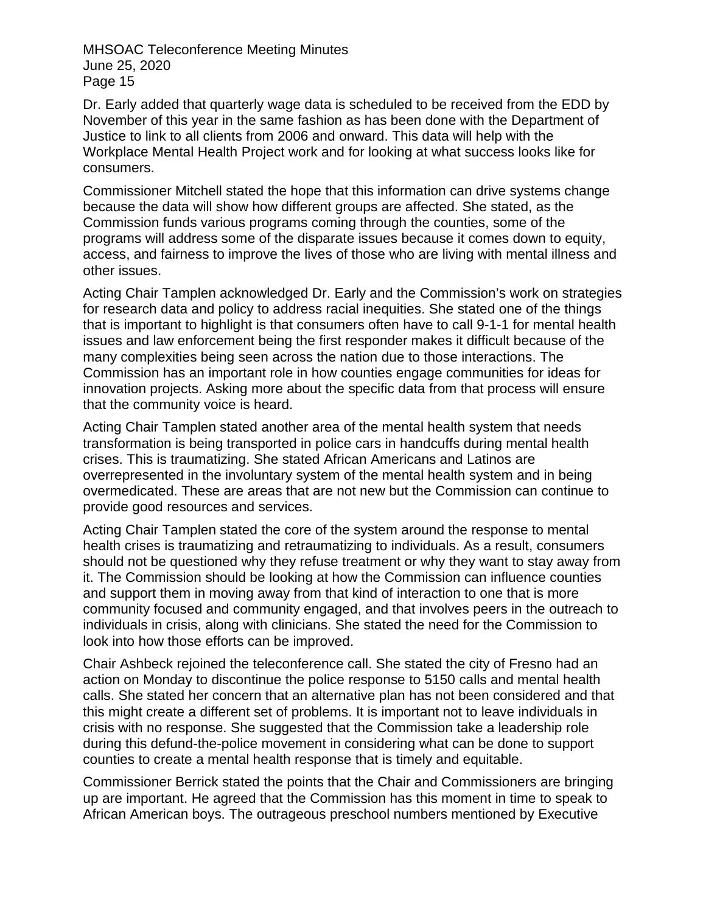Dr. Early added that quarterly wage data is scheduled to be received from the EDD by November of this year in the same fashion as has been done with the Department of Justice to link to all clients from 2006 and onward. This data will help with the Workplace Mental Health Project work and for looking at what success looks like for consumers.

Commissioner Mitchell stated the hope that this information can drive systems change because the data will show how different groups are affected. She stated, as the Commission funds various programs coming through the counties, some of the programs will address some of the disparate issues because it comes down to equity, access, and fairness to improve the lives of those who are living with mental illness and other issues.

Acting Chair Tamplen acknowledged Dr. Early and the Commission's work on strategies for research data and policy to address racial inequities. She stated one of the things that is important to highlight is that consumers often have to call 9-1-1 for mental health issues and law enforcement being the first responder makes it difficult because of the many complexities being seen across the nation due to those interactions. The Commission has an important role in how counties engage communities for ideas for innovation projects. Asking more about the specific data from that process will ensure that the community voice is heard.

Acting Chair Tamplen stated another area of the mental health system that needs transformation is being transported in police cars in handcuffs during mental health crises. This is traumatizing. She stated African Americans and Latinos are overrepresented in the involuntary system of the mental health system and in being overmedicated. These are areas that are not new but the Commission can continue to provide good resources and services.

Acting Chair Tamplen stated the core of the system around the response to mental health crises is traumatizing and retraumatizing to individuals. As a result, consumers should not be questioned why they refuse treatment or why they want to stay away from it. The Commission should be looking at how the Commission can influence counties and support them in moving away from that kind of interaction to one that is more community focused and community engaged, and that involves peers in the outreach to individuals in crisis, along with clinicians. She stated the need for the Commission to look into how those efforts can be improved.

Chair Ashbeck rejoined the teleconference call. She stated the city of Fresno had an action on Monday to discontinue the police response to 5150 calls and mental health calls. She stated her concern that an alternative plan has not been considered and that this might create a different set of problems. It is important not to leave individuals in crisis with no response. She suggested that the Commission take a leadership role during this defund-the-police movement in considering what can be done to support counties to create a mental health response that is timely and equitable.

Commissioner Berrick stated the points that the Chair and Commissioners are bringing up are important. He agreed that the Commission has this moment in time to speak to African American boys. The outrageous preschool numbers mentioned by Executive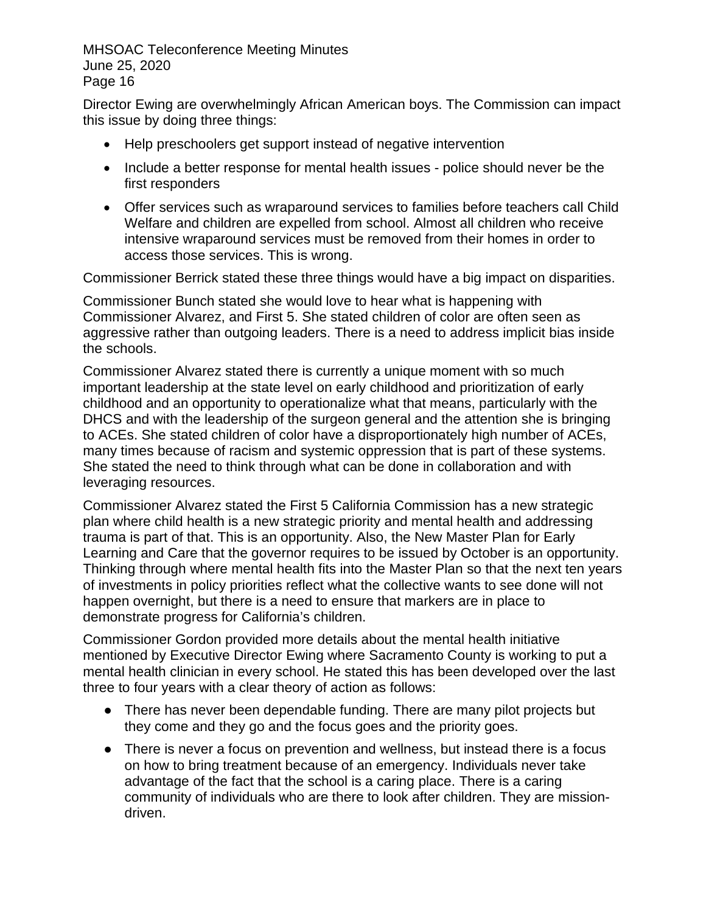Director Ewing are overwhelmingly African American boys. The Commission can impact this issue by doing three things:

- Help preschoolers get support instead of negative intervention
- Include a better response for mental health issues police should never be the first responders
- Offer services such as wraparound services to families before teachers call Child Welfare and children are expelled from school. Almost all children who receive intensive wraparound services must be removed from their homes in order to access those services. This is wrong.

Commissioner Berrick stated these three things would have a big impact on disparities.

Commissioner Bunch stated she would love to hear what is happening with Commissioner Alvarez, and First 5. She stated children of color are often seen as aggressive rather than outgoing leaders. There is a need to address implicit bias inside the schools.

Commissioner Alvarez stated there is currently a unique moment with so much important leadership at the state level on early childhood and prioritization of early childhood and an opportunity to operationalize what that means, particularly with the DHCS and with the leadership of the surgeon general and the attention she is bringing to ACEs. She stated children of color have a disproportionately high number of ACEs, many times because of racism and systemic oppression that is part of these systems. She stated the need to think through what can be done in collaboration and with leveraging resources.

Commissioner Alvarez stated the First 5 California Commission has a new strategic plan where child health is a new strategic priority and mental health and addressing trauma is part of that. This is an opportunity. Also, the New Master Plan for Early Learning and Care that the governor requires to be issued by October is an opportunity. Thinking through where mental health fits into the Master Plan so that the next ten years of investments in policy priorities reflect what the collective wants to see done will not happen overnight, but there is a need to ensure that markers are in place to demonstrate progress for California's children.

Commissioner Gordon provided more details about the mental health initiative mentioned by Executive Director Ewing where Sacramento County is working to put a mental health clinician in every school. He stated this has been developed over the last three to four years with a clear theory of action as follows:

- There has never been dependable funding. There are many pilot projects but they come and they go and the focus goes and the priority goes.
- There is never a focus on prevention and wellness, but instead there is a focus on how to bring treatment because of an emergency. Individuals never take advantage of the fact that the school is a caring place. There is a caring community of individuals who are there to look after children. They are missiondriven.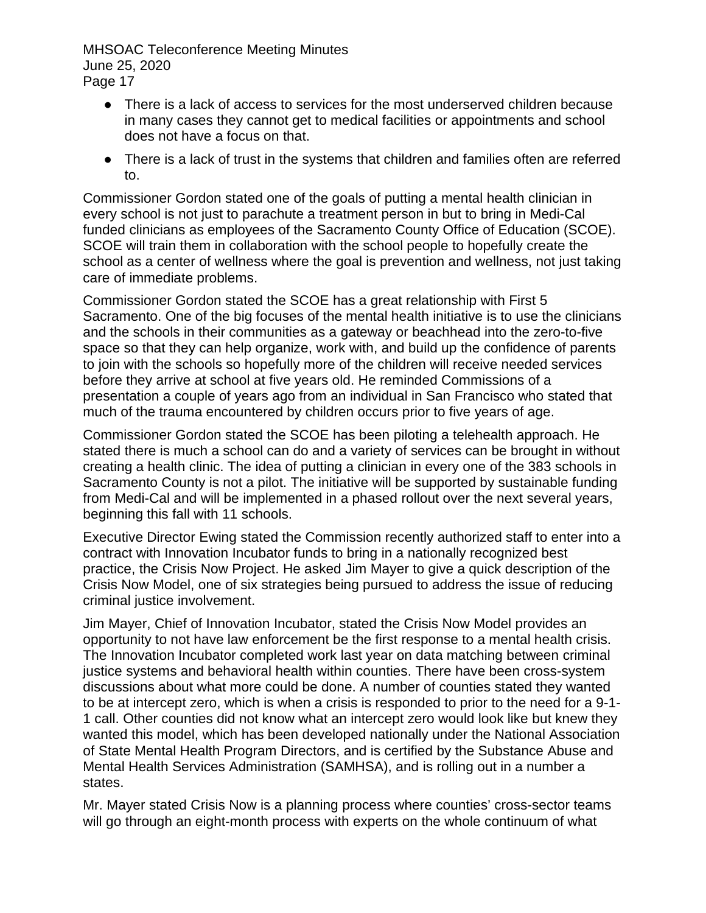- There is a lack of access to services for the most underserved children because in many cases they cannot get to medical facilities or appointments and school does not have a focus on that.
- There is a lack of trust in the systems that children and families often are referred to.

Commissioner Gordon stated one of the goals of putting a mental health clinician in every school is not just to parachute a treatment person in but to bring in Medi-Cal funded clinicians as employees of the Sacramento County Office of Education (SCOE). SCOE will train them in collaboration with the school people to hopefully create the school as a center of wellness where the goal is prevention and wellness, not just taking care of immediate problems.

Commissioner Gordon stated the SCOE has a great relationship with First 5 Sacramento. One of the big focuses of the mental health initiative is to use the clinicians and the schools in their communities as a gateway or beachhead into the zero-to-five space so that they can help organize, work with, and build up the confidence of parents to join with the schools so hopefully more of the children will receive needed services before they arrive at school at five years old. He reminded Commissions of a presentation a couple of years ago from an individual in San Francisco who stated that much of the trauma encountered by children occurs prior to five years of age.

Commissioner Gordon stated the SCOE has been piloting a telehealth approach. He stated there is much a school can do and a variety of services can be brought in without creating a health clinic. The idea of putting a clinician in every one of the 383 schools in Sacramento County is not a pilot. The initiative will be supported by sustainable funding from Medi-Cal and will be implemented in a phased rollout over the next several years, beginning this fall with 11 schools.

Executive Director Ewing stated the Commission recently authorized staff to enter into a contract with Innovation Incubator funds to bring in a nationally recognized best practice, the Crisis Now Project. He asked Jim Mayer to give a quick description of the Crisis Now Model, one of six strategies being pursued to address the issue of reducing criminal justice involvement.

Jim Mayer, Chief of Innovation Incubator, stated the Crisis Now Model provides an opportunity to not have law enforcement be the first response to a mental health crisis. The Innovation Incubator completed work last year on data matching between criminal justice systems and behavioral health within counties. There have been cross-system discussions about what more could be done. A number of counties stated they wanted to be at intercept zero, which is when a crisis is responded to prior to the need for a 9-1- 1 call. Other counties did not know what an intercept zero would look like but knew they wanted this model, which has been developed nationally under the National Association of State Mental Health Program Directors, and is certified by the Substance Abuse and Mental Health Services Administration (SAMHSA), and is rolling out in a number a states.

Mr. Mayer stated Crisis Now is a planning process where counties' cross-sector teams will go through an eight-month process with experts on the whole continuum of what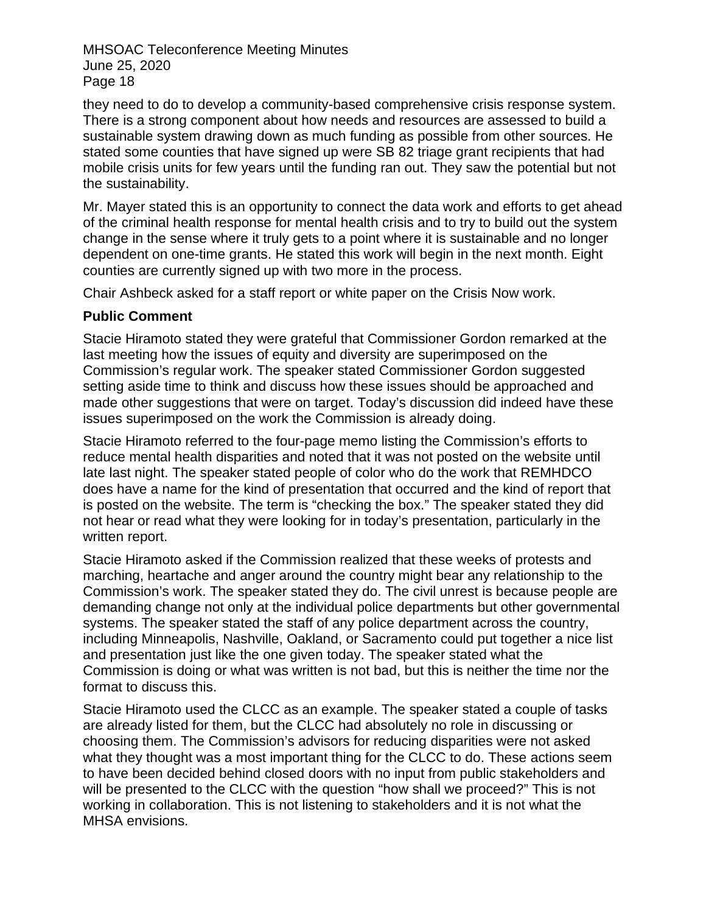they need to do to develop a community-based comprehensive crisis response system. There is a strong component about how needs and resources are assessed to build a sustainable system drawing down as much funding as possible from other sources. He stated some counties that have signed up were SB 82 triage grant recipients that had mobile crisis units for few years until the funding ran out. They saw the potential but not the sustainability.

Mr. Mayer stated this is an opportunity to connect the data work and efforts to get ahead of the criminal health response for mental health crisis and to try to build out the system change in the sense where it truly gets to a point where it is sustainable and no longer dependent on one-time grants. He stated this work will begin in the next month. Eight counties are currently signed up with two more in the process.

Chair Ashbeck asked for a staff report or white paper on the Crisis Now work.

#### **Public Comment**

Stacie Hiramoto stated they were grateful that Commissioner Gordon remarked at the last meeting how the issues of equity and diversity are superimposed on the Commission's regular work. The speaker stated Commissioner Gordon suggested setting aside time to think and discuss how these issues should be approached and made other suggestions that were on target. Today's discussion did indeed have these issues superimposed on the work the Commission is already doing.

Stacie Hiramoto referred to the four-page memo listing the Commission's efforts to reduce mental health disparities and noted that it was not posted on the website until late last night. The speaker stated people of color who do the work that REMHDCO does have a name for the kind of presentation that occurred and the kind of report that is posted on the website. The term is "checking the box." The speaker stated they did not hear or read what they were looking for in today's presentation, particularly in the written report.

Stacie Hiramoto asked if the Commission realized that these weeks of protests and marching, heartache and anger around the country might bear any relationship to the Commission's work. The speaker stated they do. The civil unrest is because people are demanding change not only at the individual police departments but other governmental systems. The speaker stated the staff of any police department across the country, including Minneapolis, Nashville, Oakland, or Sacramento could put together a nice list and presentation just like the one given today. The speaker stated what the Commission is doing or what was written is not bad, but this is neither the time nor the format to discuss this.

Stacie Hiramoto used the CLCC as an example. The speaker stated a couple of tasks are already listed for them, but the CLCC had absolutely no role in discussing or choosing them. The Commission's advisors for reducing disparities were not asked what they thought was a most important thing for the CLCC to do. These actions seem to have been decided behind closed doors with no input from public stakeholders and will be presented to the CLCC with the question "how shall we proceed?" This is not working in collaboration. This is not listening to stakeholders and it is not what the MHSA envisions.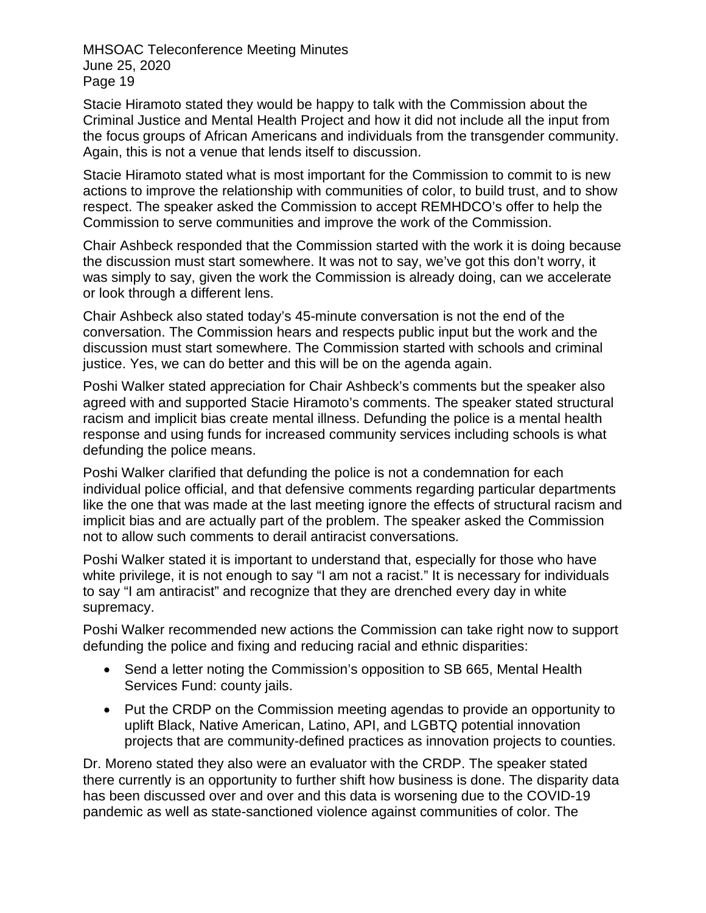Stacie Hiramoto stated they would be happy to talk with the Commission about the Criminal Justice and Mental Health Project and how it did not include all the input from the focus groups of African Americans and individuals from the transgender community. Again, this is not a venue that lends itself to discussion.

Stacie Hiramoto stated what is most important for the Commission to commit to is new actions to improve the relationship with communities of color, to build trust, and to show respect. The speaker asked the Commission to accept REMHDCO's offer to help the Commission to serve communities and improve the work of the Commission.

Chair Ashbeck responded that the Commission started with the work it is doing because the discussion must start somewhere. It was not to say, we've got this don't worry, it was simply to say, given the work the Commission is already doing, can we accelerate or look through a different lens.

Chair Ashbeck also stated today's 45-minute conversation is not the end of the conversation. The Commission hears and respects public input but the work and the discussion must start somewhere. The Commission started with schools and criminal justice. Yes, we can do better and this will be on the agenda again.

Poshi Walker stated appreciation for Chair Ashbeck's comments but the speaker also agreed with and supported Stacie Hiramoto's comments. The speaker stated structural racism and implicit bias create mental illness. Defunding the police is a mental health response and using funds for increased community services including schools is what defunding the police means.

Poshi Walker clarified that defunding the police is not a condemnation for each individual police official, and that defensive comments regarding particular departments like the one that was made at the last meeting ignore the effects of structural racism and implicit bias and are actually part of the problem. The speaker asked the Commission not to allow such comments to derail antiracist conversations.

Poshi Walker stated it is important to understand that, especially for those who have white privilege, it is not enough to say "I am not a racist." It is necessary for individuals to say "I am antiracist" and recognize that they are drenched every day in white supremacy.

Poshi Walker recommended new actions the Commission can take right now to support defunding the police and fixing and reducing racial and ethnic disparities:

- Send a letter noting the Commission's opposition to SB 665, Mental Health Services Fund: county jails.
- Put the CRDP on the Commission meeting agendas to provide an opportunity to uplift Black, Native American, Latino, API, and LGBTQ potential innovation projects that are community-defined practices as innovation projects to counties.

Dr. Moreno stated they also were an evaluator with the CRDP. The speaker stated there currently is an opportunity to further shift how business is done. The disparity data has been discussed over and over and this data is worsening due to the COVID-19 pandemic as well as state-sanctioned violence against communities of color. The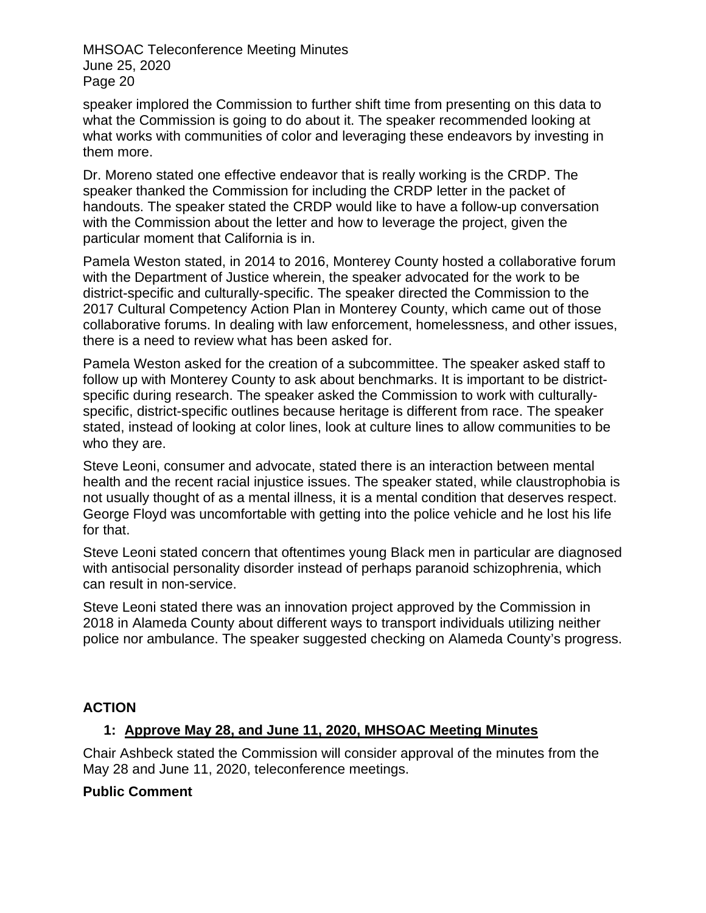speaker implored the Commission to further shift time from presenting on this data to what the Commission is going to do about it. The speaker recommended looking at what works with communities of color and leveraging these endeavors by investing in them more.

Dr. Moreno stated one effective endeavor that is really working is the CRDP. The speaker thanked the Commission for including the CRDP letter in the packet of handouts. The speaker stated the CRDP would like to have a follow-up conversation with the Commission about the letter and how to leverage the project, given the particular moment that California is in.

Pamela Weston stated, in 2014 to 2016, Monterey County hosted a collaborative forum with the Department of Justice wherein, the speaker advocated for the work to be district-specific and culturally-specific. The speaker directed the Commission to the 2017 Cultural Competency Action Plan in Monterey County, which came out of those collaborative forums. In dealing with law enforcement, homelessness, and other issues, there is a need to review what has been asked for.

Pamela Weston asked for the creation of a subcommittee. The speaker asked staff to follow up with Monterey County to ask about benchmarks. It is important to be districtspecific during research. The speaker asked the Commission to work with culturallyspecific, district-specific outlines because heritage is different from race. The speaker stated, instead of looking at color lines, look at culture lines to allow communities to be who they are.

Steve Leoni, consumer and advocate, stated there is an interaction between mental health and the recent racial injustice issues. The speaker stated, while claustrophobia is not usually thought of as a mental illness, it is a mental condition that deserves respect. George Floyd was uncomfortable with getting into the police vehicle and he lost his life for that.

Steve Leoni stated concern that oftentimes young Black men in particular are diagnosed with antisocial personality disorder instead of perhaps paranoid schizophrenia, which can result in non-service.

Steve Leoni stated there was an innovation project approved by the Commission in 2018 in Alameda County about different ways to transport individuals utilizing neither police nor ambulance. The speaker suggested checking on Alameda County's progress.

## **ACTION**

## **1: Approve May 28, and June 11, 2020, MHSOAC Meeting Minutes**

Chair Ashbeck stated the Commission will consider approval of the minutes from the May 28 and June 11, 2020, teleconference meetings.

#### **Public Comment**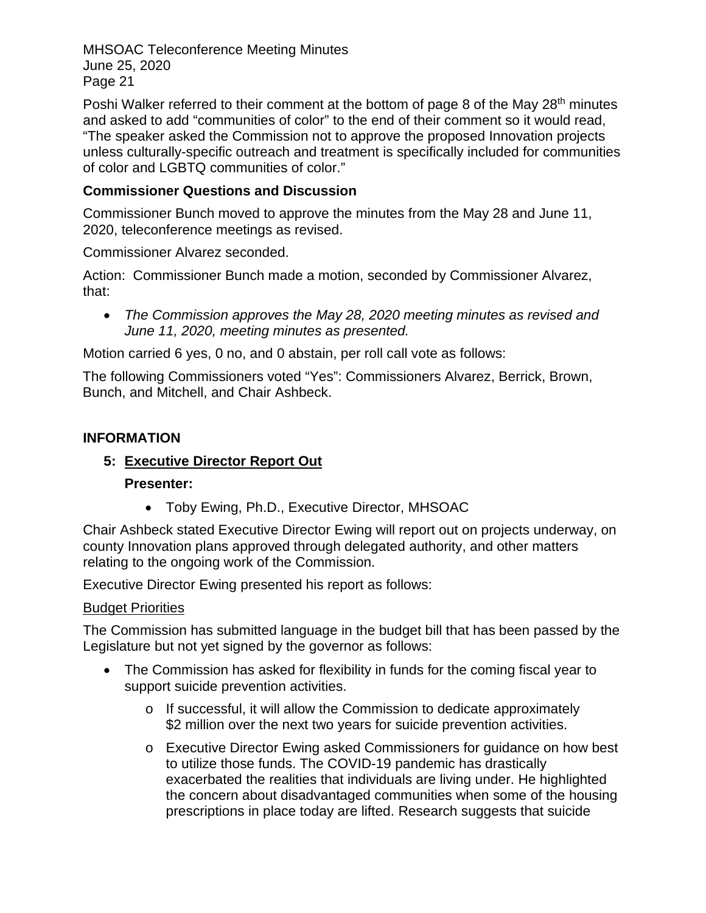Poshi Walker referred to their comment at the bottom of page 8 of the May 28<sup>th</sup> minutes and asked to add "communities of color" to the end of their comment so it would read, "The speaker asked the Commission not to approve the proposed Innovation projects unless culturally-specific outreach and treatment is specifically included for communities of color and LGBTQ communities of color."

## **Commissioner Questions and Discussion**

Commissioner Bunch moved to approve the minutes from the May 28 and June 11, 2020, teleconference meetings as revised.

Commissioner Alvarez seconded.

Action: Commissioner Bunch made a motion, seconded by Commissioner Alvarez, that:

• *The Commission approves the May 28, 2020 meeting minutes as revised and June 11, 2020, meeting minutes as presented.*

Motion carried 6 yes, 0 no, and 0 abstain, per roll call vote as follows:

The following Commissioners voted "Yes": Commissioners Alvarez, Berrick, Brown, Bunch, and Mitchell, and Chair Ashbeck.

## **INFORMATION**

# **5: Executive Director Report Out**

## **Presenter:**

• Toby Ewing, Ph.D., Executive Director, MHSOAC

Chair Ashbeck stated Executive Director Ewing will report out on projects underway, on county Innovation plans approved through delegated authority, and other matters relating to the ongoing work of the Commission.

Executive Director Ewing presented his report as follows:

## Budget Priorities

The Commission has submitted language in the budget bill that has been passed by the Legislature but not yet signed by the governor as follows:

- The Commission has asked for flexibility in funds for the coming fiscal year to support suicide prevention activities.
	- $\circ$  If successful, it will allow the Commission to dedicate approximately \$2 million over the next two years for suicide prevention activities.
	- o Executive Director Ewing asked Commissioners for guidance on how best to utilize those funds. The COVID-19 pandemic has drastically exacerbated the realities that individuals are living under. He highlighted the concern about disadvantaged communities when some of the housing prescriptions in place today are lifted. Research suggests that suicide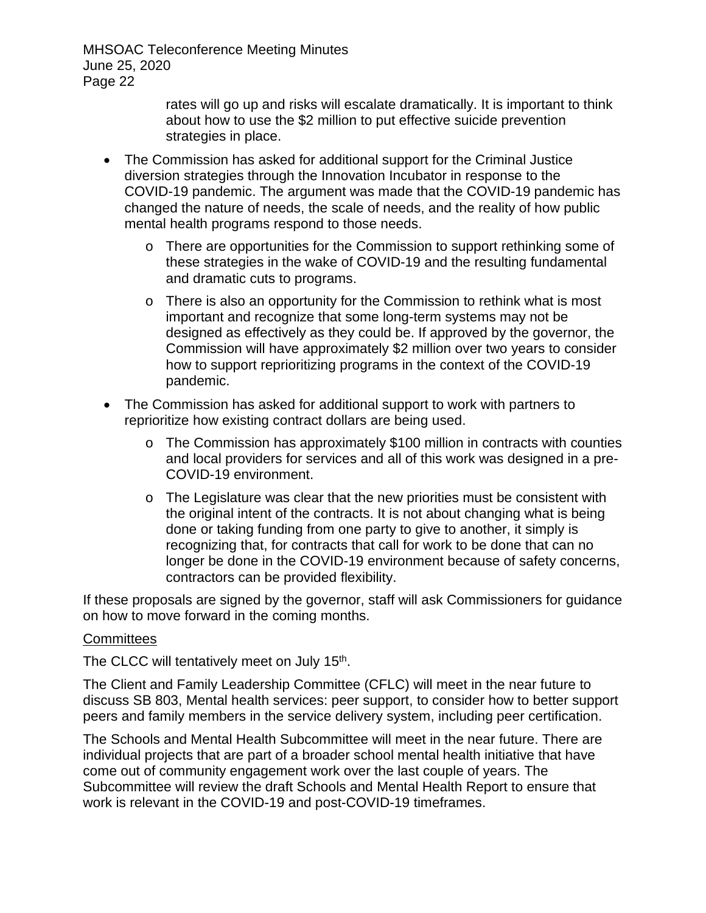> rates will go up and risks will escalate dramatically. It is important to think about how to use the \$2 million to put effective suicide prevention strategies in place.

- The Commission has asked for additional support for the Criminal Justice diversion strategies through the Innovation Incubator in response to the COVID-19 pandemic. The argument was made that the COVID-19 pandemic has changed the nature of needs, the scale of needs, and the reality of how public mental health programs respond to those needs.
	- o There are opportunities for the Commission to support rethinking some of these strategies in the wake of COVID-19 and the resulting fundamental and dramatic cuts to programs.
	- $\circ$  There is also an opportunity for the Commission to rethink what is most important and recognize that some long-term systems may not be designed as effectively as they could be. If approved by the governor, the Commission will have approximately \$2 million over two years to consider how to support reprioritizing programs in the context of the COVID-19 pandemic.
- The Commission has asked for additional support to work with partners to reprioritize how existing contract dollars are being used.
	- $\circ$  The Commission has approximately \$100 million in contracts with counties and local providers for services and all of this work was designed in a pre-COVID-19 environment.
	- $\circ$  The Legislature was clear that the new priorities must be consistent with the original intent of the contracts. It is not about changing what is being done or taking funding from one party to give to another, it simply is recognizing that, for contracts that call for work to be done that can no longer be done in the COVID-19 environment because of safety concerns, contractors can be provided flexibility.

If these proposals are signed by the governor, staff will ask Commissioners for guidance on how to move forward in the coming months.

#### **Committees**

The CLCC will tentatively meet on July 15<sup>th</sup>.

The Client and Family Leadership Committee (CFLC) will meet in the near future to discuss SB 803, Mental health services: peer support, to consider how to better support peers and family members in the service delivery system, including peer certification.

The Schools and Mental Health Subcommittee will meet in the near future. There are individual projects that are part of a broader school mental health initiative that have come out of community engagement work over the last couple of years. The Subcommittee will review the draft Schools and Mental Health Report to ensure that work is relevant in the COVID-19 and post-COVID-19 timeframes.